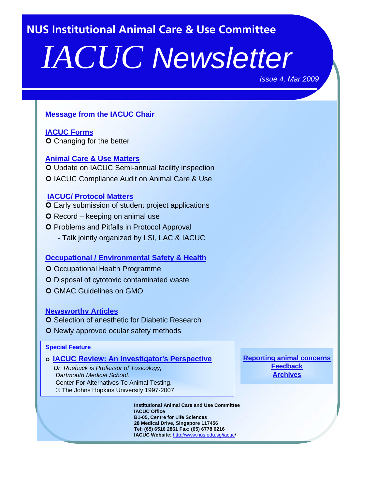<span id="page-0-0"></span>**NUS Institutional Animal Care & Use Committee**

# *IACUC Newsletter*

*Issue 4, Mar 2009*

# **[Message from the IACUC Chair](#page-1-0)**

**[IACUC Forms](#page-2-0) O** Changing for the better

#### **[Animal Care & Use Matters](#page-3-0)**

O Update on IACUC Semi-annual facility inspection **O IACUC Compliance Audit on Animal Care & Use** 

#### **[IACUC/ Protocol Matters](#page-5-0)**

- **O** Early submission of student project applications
- **O** Record keeping on animal use
- **O** Problems and Pitfalls in Protocol Approval
	- Talk jointly organized by LSI, LAC & IACUC

#### **[Occupational / Environmental Safety & Health](#page-6-0)**

- O Occupational Health Programme
- **O** Disposal of cytotoxic contaminated waste
- GMAC Guidelines on GMO

#### **[Newsworthy Articles](#page-10-0)**

- **O** Selection of anesthetic for Diabetic Research
- **O** Newly approved ocular safety methods

#### **Special Feature**

#### **[IACUC Review: An Investigator's Perspective](#page-8-0)**

*Dr. Roebuck is Professor of Toxicology, Dartmouth Medical School.* Center For Alternatives To Animal Testing. © The Johns Hopkins University 1997-2007

> **Institutional Animal Care and Use Committee IACUC Office B1-05, Centre for Life Sciences 28 Medical Drive, Singapore 117456 Tel: (65) 6516 2861 Fax: (65) 6778 6216 IACUC Website**: [http://www.nus.edu.sg/iacuc](http://www.nus.edu.sg/iacuc/)/

**[Reporting animal concerns](http://www.nus.edu.sg/iacuc/pages/reporting_form.html) [Feedback](mailto:dprnmya@nus.edu.sg) [Archives](http://www.nus.edu.sg/iacuc/eNews/archives.html)**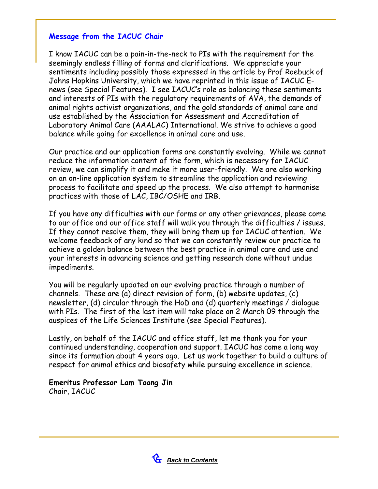# <span id="page-1-0"></span>**Message from the IACUC Chair**

I know IACUC can be a pain-in-the-neck to PIs with the requirement for the seemingly endless filling of forms and clarifications. We appreciate your sentiments including possibly those expressed in the article by Prof Roebuck of Johns Hopkins University, which we have reprinted in this issue of IACUC Enews (see Special Features). I see IACUC's role as balancing these sentiments and interests of PIs with the regulatory requirements of AVA, the demands of animal rights activist organizations, and the gold standards of animal care and use established by the Association for Assessment and Accreditation of Laboratory Animal Care (AAALAC) International. We strive to achieve a good balance while going for excellence in animal care and use.

Our practice and our application forms are constantly evolving. While we cannot reduce the information content of the form, which is necessary for IACUC review, we can simplify it and make it more user-friendly. We are also working on an on-line application system to streamline the application and reviewing process to facilitate and speed up the process. We also attempt to harmonise practices with those of LAC, IBC/OSHE and IRB.

If you have any difficulties with our forms or any other grievances, please come to our office and our office staff will walk you through the difficulties / issues. If they cannot resolve them, they will bring them up for IACUC attention. We welcome feedback of any kind so that we can constantly review our practice to achieve a golden balance between the best practice in animal care and use and your interests in advancing science and getting research done without undue impediments.

You will be regularly updated on our evolving practice through a number of channels. These are (a) direct revision of form, (b) website updates, (c) newsletter, (d) circular through the HoD and (d) quarterly meetings / dialogue with PIs. The first of the last item will take place on 2 March 09 through the auspices of the Life Sciences Institute (see Special Features).

Lastly, on behalf of the IACUC and office staff, let me thank you for your continued understanding, cooperation and support. IACUC has come a long way since its formation about 4 years ago. Let us work together to build a culture of respect for animal ethics and biosafety while pursuing excellence in science.

#### **Emeritus Professor Lam Toong Jin**  Chair, IACUC

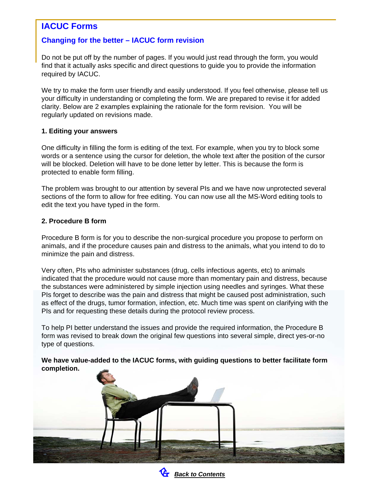# <span id="page-2-0"></span>**IACUC Forms**

# **Changing for the better – IACUC form revision**

Do not be put off by the number of pages. If you would just read through the form, you would find that it actually asks specific and direct questions to guide you to provide the information required by IACUC.

We try to make the form user friendly and easily understood. If you feel otherwise, please tell us your difficulty in understanding or completing the form. We are prepared to revise it for added clarity. Below are 2 examples explaining the rationale for the form revision. You will be regularly updated on revisions made.

#### **1. Editing your answers**

One difficulty in filling the form is editing of the text. For example, when you try to block some words or a sentence using the cursor for deletion, the whole text after the position of the cursor will be blocked. Deletion will have to be done letter by letter. This is because the form is protected to enable form filling.

The problem was brought to our attention by several PIs and we have now unprotected several sections of the form to allow for free editing. You can now use all the MS-Word editing tools to edit the text you have typed in the form.

#### **2. Procedure B form**

Procedure B form is for you to describe the non-surgical procedure you propose to perform on animals, and if the procedure causes pain and distress to the animals, what you intend to do to minimize the pain and distress.

Very often, PIs who administer substances (drug, cells infectious agents, etc) to animals indicated that the procedure would not cause more than momentary pain and distress, because the substances were administered by simple injection using needles and syringes. What these PIs forget to describe was the pain and distress that might be caused post administration, such as effect of the drugs, tumor formation, infection, etc. Much time was spent on clarifying with the PIs and for requesting these details during the protocol review process.

To help PI better understand the issues and provide the required information, the Procedure B form was revised to break down the original few questions into several simple, direct yes-or-no type of questions.

**We have value-added to the IACUC forms, with guiding questions to better facilitate form completion.**



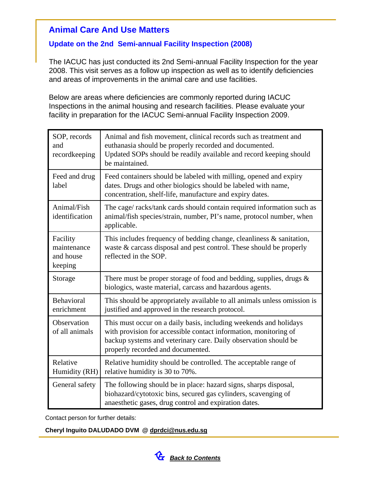# <span id="page-3-0"></span>**Animal Care And Use Matters**

# **Update on the 2nd Semi-annual Facility Inspection (2008)**

The IACUC has just conducted its 2nd Semi-annual Facility Inspection for the year 2008. This visit serves as a follow up inspection as well as to identify deficiencies and areas of improvements in the animal care and use facilities.

Below are areas where deficiencies are commonly reported during IACUC Inspections in the animal housing and research facilities. Please evaluate your facility in preparation for the IACUC Semi-annual Facility Inspection 2009.

| SOP, records<br>and<br>recordkeeping            | Animal and fish movement, clinical records such as treatment and<br>euthanasia should be properly recorded and documented.<br>Updated SOPs should be readily available and record keeping should<br>be maintained.                            |
|-------------------------------------------------|-----------------------------------------------------------------------------------------------------------------------------------------------------------------------------------------------------------------------------------------------|
| Feed and drug<br>label                          | Feed containers should be labeled with milling, opened and expiry<br>dates. Drugs and other biologics should be labeled with name,<br>concentration, shelf-life, manufacture and expiry dates.                                                |
| Animal/Fish<br>identification                   | The cage/racks/tank cards should contain required information such as<br>animal/fish species/strain, number, PI's name, protocol number, when<br>applicable.                                                                                  |
| Facility<br>maintenance<br>and house<br>keeping | This includes frequency of bedding change, cleanliness $\&$ sanitation,<br>waste & carcass disposal and pest control. These should be properly<br>reflected in the SOP.                                                                       |
| Storage                                         | There must be proper storage of food and bedding, supplies, drugs $\&$<br>biologics, waste material, carcass and hazardous agents.                                                                                                            |
| Behavioral<br>enrichment                        | This should be appropriately available to all animals unless omission is<br>justified and approved in the research protocol.                                                                                                                  |
| Observation<br>of all animals                   | This must occur on a daily basis, including weekends and holidays<br>with provision for accessible contact information, monitoring of<br>backup systems and veterinary care. Daily observation should be<br>properly recorded and documented. |
| Relative<br>Humidity (RH)                       | Relative humidity should be controlled. The acceptable range of<br>relative humidity is 30 to 70%.                                                                                                                                            |
| General safety                                  | The following should be in place: hazard signs, sharps disposal,<br>biohazard/cytotoxic bins, secured gas cylinders, scavenging of<br>anaesthetic gases, drug control and expiration dates.                                                   |

Contact person for further details:

#### **Cheryl Inguito DALUDADO DVM [@ dprdci@nus.edu.sg](mailto:dprdci@nus.edu.sg)**

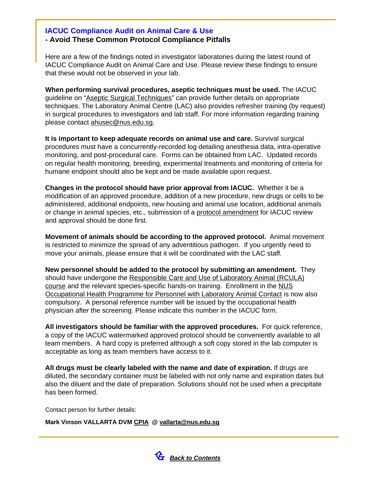# **IACUC Compliance Audit on Animal Care & Use - Avoid These Common Protocol Compliance Pitfalls**

Here are a few of the findings noted in investigator laboratories during the latest round of IACUC Compliance Audit on Animal Care and Use. Please review these findings to ensure that these would not be observed in your lab.

**When performing survival procedures, aseptic techniques must be used.** The IACUC guideline on ["Aseptic Surgical Techniques](http://www.nus.edu.sg/iacuc/files/Aseptic Surgical Techniques.pdf)" can provide further details on appropriate techniques. The Laboratory Animal Centre (LAC) also provides refresher training (by request) in surgical procedures to investigators and lab staff. For more information regarding training please contac[t ahusec@nus.edu.sg](mailto:ahusec@nus.edu.sg).

**It is important to keep adequate records on animal use and care.** Survival surgical procedures must have a concurrently-recorded log detailing anesthesia data, intra-operative monitoring, and post-procedural care. Forms can be obtained from LAC. Updated records on regular health monitoring, breeding, experimental treatments and monitoring of criteria for humane endpoint should also be kept and be made available upon request.

**Changes in the protocol should have prior approval from IACUC.** Whether it be a modification of an approved procedure, addition of a new procedure, new drugs or cells to be administered, additional endpoints, new housing and animal use location, additional animals or change in animal species, etc., submission of a pro[tocol amendment f](http://www.nus.edu.sg/iacuc/pages/amend_approved_protocol_app.html)or IACUC review and approval should be done first.

**Movement of animals should be according to the approved protocol.** Animal movement is restricted to minimize the spread of any adventitious pathogen. If you urgently need to move your animals, please ensure that it will be coordinated with the LAC staff.

**New personnel should be added to the protocol by submitting an amendment.** They should have undergone the [Responsible Care and Use of Laboratory Animal \(RCULA\)](http://www.nus.edu.sg/iacuc/animal_use_lac_training_course.shtml)  [course](http://www.nus.edu.sg/iacuc/animal_use_lac_training_course.shtml) and the relevant species-specific hands-on training. Enrollment in the [NUS](https://wws.nus.edu.sg/osh/programme/ohp/animalprog.pdf)  [Occupational Health Programme for Personnel with Laboratory Animal Contact i](https://wws.nus.edu.sg/osh/programme/ohp/animalprog.pdf)s now also compulsory. A personal reference number will be issued by the occupational health physician after the screening. Please indicate this number in the IACUC form.

**All investigators should be familiar with the approved procedures.** For quick reference, a copy of the IACUC watermarked approved protocol should be conveniently available to all team members. A hard copy is preferred although a soft copy stored in the lab computer is acceptable as long as team members have access to it.

**All drugs must be clearly labeled with the name and date of expiration.** If drugs are diluted, the secondary container must be labeled with not only name and expiration dates but also the diluent and the date of preparation. Solutions should not be used when a precipitate has been formed.

Contact person for further details:

**Mark Vinson VALLARTA DVM CPIA @ [vallarta@nus.edu.sg](mailto:vallarta@nus.edu.sg)**

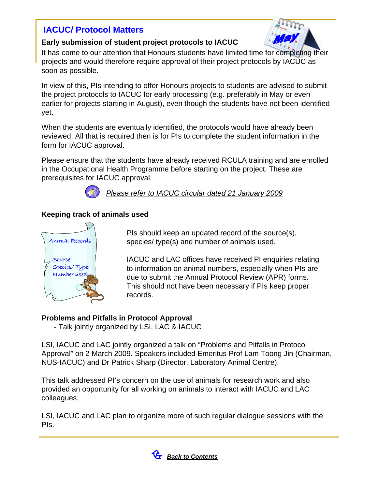# <span id="page-5-0"></span>**IACUC/ Protocol Matters**



#### **Early submission of student project protocols to IACUC**

It has come to our attention that Honours students have limited time for completing their projects and would therefore require approval of their project protocols by IACUC as soon as possible.

In view of this, PIs intending to offer Honours projects to students are advised to submit the project protocols to IACUC for early processing (e.g. preferably in May or even earlier for projects starting in August), even though the students have not been identified yet.

When the students are eventually identified, the protocols would have already been reviewed. All that is required then is for PIs to complete the student information in the form for IACUC approval.

Please ensure that the students have already received RCULA training and are enrolled in the Occupational Health Programme before starting on the project. These are prerequisites for IACUC approval.



*[Please refer to IACUC circular dated 21 January 2009](http://www.nus.edu.sg/iacuc/pages/Circular on Early submission of student project protocols to IACUC (dated 29 Jan 2009).pdf)*

# **Keeping track of animals used**



PIs should keep an updated record of the source(s), species/ type(s) and number of animals used.

IACUC and LAC offices have received PI enquiries relating to information on animal numbers, especially when PIs are due to submit the Annual Protocol Review (APR) forms. This should not have been necessary if PIs keep proper records.

# **Problems and Pitfalls in Protocol Approval**

- Talk jointly organized by LSI, LAC & IACUC

LSI, IACUC and LAC jointly organized a talk on "Problems and Pitfalls in Protocol Approval" on 2 March 2009. Speakers included Emeritus Prof Lam Toong Jin (Chairman, NUS-IACUC) and Dr Patrick Sharp (Director, Laboratory Animal Centre).

This talk addressed PI's concern on the use of animals for research work and also provided an opportunity for all working on animals to interact with IACUC and LAC colleagues.

LSI, IACUC and LAC plan to organize more of such regular dialogue sessions with the PIs.

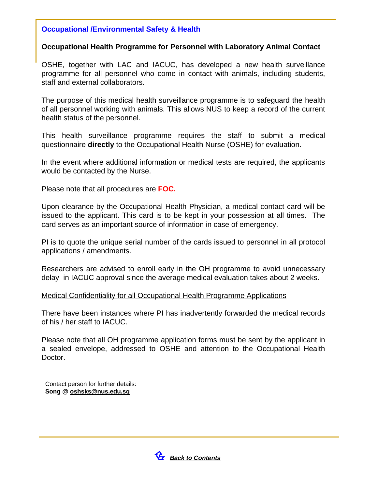# <span id="page-6-0"></span>**Occupational /Environmental Safety & Health**

# **Occupational Health Programme for Personnel with Laboratory Animal Contact**

OSHE, together with LAC and IACUC, has developed a new health surveillance programme for all personnel who come in contact with animals, including students, staff and external collaborators.

The purpose of this medical health surveillance programme is to safeguard the health of all personnel working with animals. This allows NUS to keep a record of the current health status of the personnel.

This health surveillance programme requires the staff to submit a medical questionnaire **directly** to the Occupational Health Nurse (OSHE) for evaluation.

In the event where additional information or medical tests are required, the applicants would be contacted by the Nurse.

Please note that all procedures are **FOC.**

Upon clearance by the Occupational Health Physician, a medical contact card will be issued to the applicant. This card is to be kept in your possession at all times. The card serves as an important source of information in case of emergency.

PI is to quote the unique serial number of the cards issued to personnel in all protocol applications / amendments.

Researchers are advised to enroll early in the OH programme to avoid unnecessary delay in IACUC approval since the average medical evaluation takes about 2 weeks.

#### Medical Confidentiality for all Occupational Health Programme Applications

There have been instances where PI has inadvertently forwarded the medical records of his / her staff to IACUC.

Please note that all OH programme application forms must be sent by the applicant in a sealed envelope, addressed to OSHE and attention to the Occupational Health Doctor.

Contact person for further details: **[Song @ oshsks@nus.edu.sg](mailto:oshsks@nus.edu.sg)**

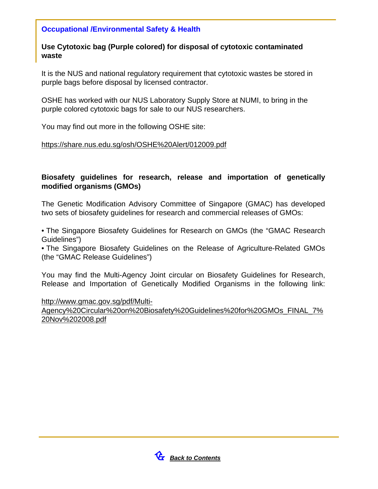# **Occupational /Environmental Safety & Health**

# **Use Cytotoxic bag (Purple colored) for disposal of cytotoxic contaminated waste**

It is the NUS and national regulatory requirement that cytotoxic wastes be stored in purple bags before disposal by licensed contractor.

OSHE has worked with our NUS Laboratory Supply Store at NUMI, to bring in the purple colored cytotoxic bags for sale to our NUS researchers.

You may find out more in the following OSHE site:

#### [https://share.nus.edu.sg/osh/OSHE%20Alert/012009.pdf](https://share.nus.edu.sg/osh/OSHE Alert/012009.pdf)

# **Biosafety guidelines for research, release and importation of genetically modified organisms (GMOs)**

The Genetic Modification Advisory Committee of Singapore (GMAC) has developed two sets of biosafety guidelines for research and commercial releases of GMOs:

• The Singapore Biosafety Guidelines for Research on GMOs (the "GMAC Research Guidelines")

• The Singapore Biosafety Guidelines on the Release of Agriculture-Related GMOs (the "GMAC Release Guidelines")

You may find the Multi-Agency Joint circular on Biosafety Guidelines for Research, Release and Importation of Genetically Modified Organisms in the following link:

[http://www.gmac.gov.sg/pdf/Multi-](http://www.gmac.gov.sg/pdf/Multi-Agency Circular on Biosafety Guidelines for GMOs_FINAL_7 Nov 2008.pdf)

[Agency%20Circular%20on%20Biosafety%20Guidelines%20for%20GMOs\\_FINAL\\_7%](http://www.gmac.gov.sg/pdf/Multi-Agency Circular on Biosafety Guidelines for GMOs_FINAL_7 Nov 2008.pdf)  [20Nov%202008.pdf](http://www.gmac.gov.sg/pdf/Multi-Agency Circular on Biosafety Guidelines for GMOs_FINAL_7 Nov 2008.pdf)

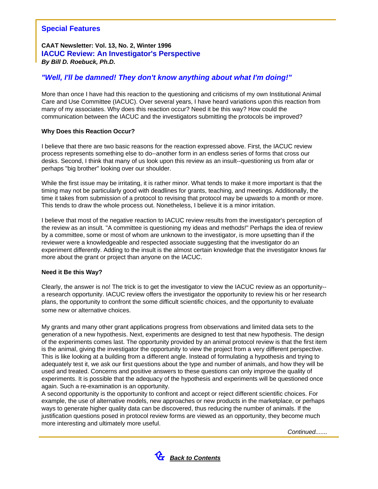# <span id="page-8-0"></span>**Special Features**

#### **CAAT Newsletter: Vol. 13, No. 2, Winter 1996 IACUC Review: An Investigator's Perspective** *By Bill D. Roebuck, Ph.D.*

# *"Well, I'll be damned! They don't know anything about what I'm doing!"*

More than once I have had this reaction to the questioning and criticisms of my own Institutional Animal Care and Use Committee (IACUC). Over several years, I have heard variations upon this reaction from many of my associates. Why does this reaction occur? Need it be this way? How could the communication between the IACUC and the investigators submitting the protocols be improved?

#### **Why Does this Reaction Occur?**

I believe that there are two basic reasons for the reaction expressed above. First, the IACUC review process represents something else to do--another form in an endless series of forms that cross our desks. Second, I think that many of us look upon this review as an insult--questioning us from afar or perhaps "big brother" looking over our shoulder.

While the first issue may be irritating, it is rather minor. What tends to make it more important is that the timing may not be particularly good with deadlines for grants, teaching, and meetings. Additionally, the time it takes from submission of a protocol to revising that protocol may be upwards to a month or more. This tends to draw the whole process out. Nonetheless, I believe it is a minor irritation.

I believe that most of the negative reaction to IACUC review results from the investigator's perception of the review as an insult. "A committee is questioning my ideas and methods!" Perhaps the idea of review by a committee, some or most of whom are unknown to the investigator, is more upsetting than if the reviewer were a knowledgeable and respected associate suggesting that the investigator do an experiment differently. Adding to the insult is the almost certain knowledge that the investigator knows far more about the grant or project than anyone on the IACUC.

#### **Need it Be this Way?**

Clearly, the answer is no! The trick is to get the investigator to view the IACUC review as an opportunity- a research opportunity. IACUC review offers the investigator the opportunity to review his or her research plans, the opportunity to confront the some difficult scientific choices, and the opportunity to evaluate some new or alternative choices.

My grants and many other grant applications progress from observations and limited data sets to the generation of a new hypothesis. Next, experiments are designed to test that new hypothesis. The design of the experiments comes last. The opportunity provided by an animal protocol review is that the first item is the animal, giving the investigator the opportunity to view the project from a very different perspective. This is like looking at a building from a different angle. Instead of formulating a hypothesis and trying to adequately test it, we ask our first questions about the type and number of animals, and how they will be used and treated. Concerns and positive answers to these questions can only improve the quality of experiments. It is possible that the adequacy of the hypothesis and experiments will be questioned once again. Such a re-examination is an opportunity.

A second opportunity is the opportunity to confront and accept or reject different scientific choices. For example, the use of alternative models, new approaches or new products in the marketplace, or perhaps ways to generate higher quality data can be discovered, thus reducing the number of animals. If the justification questions posed in protocol review forms are viewed as an opportunity, they become much more interesting and ultimately more useful.

*Continued.......*

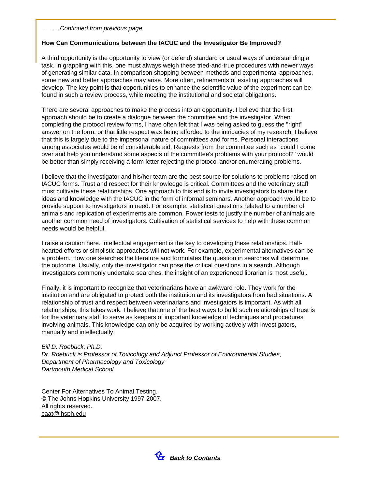#### *………Continued from previous page*

#### **How Can Communications between the IACUC and the Investigator Be Improved?**

A third opportunity is the opportunity to view (or defend) standard or usual ways of understanding a task. In grappling with this, one must always weigh these tried-and-true procedures with newer ways of generating similar data. In comparison shopping between methods and experimental approaches, some new and better approaches may arise. More often, refinements of existing approaches will develop. The key point is that opportunities to enhance the scientific value of the experiment can be found in such a review process, while meeting the institutional and societal obligations.

There are several approaches to make the process into an opportunity. I believe that the first approach should be to create a dialogue between the committee and the investigator. When completing the protocol review forms, I have often felt that I was being asked to guess the "right" answer on the form, or that little respect was being afforded to the intricacies of my research. I believe that this is largely due to the impersonal nature of committees and forms. Personal interactions among associates would be of considerable aid. Requests from the committee such as "could I come over and help you understand some aspects of the committee's problems with your protocol?" would be better than simply receiving a form letter rejecting the protocol and/or enumerating problems.

I believe that the investigator and his/her team are the best source for solutions to problems raised on IACUC forms. Trust and respect for their knowledge is critical. Committees and the veterinary staff must cultivate these relationships. One approach to this end is to invite investigators to share their ideas and knowledge with the IACUC in the form of informal seminars. Another approach would be to provide support to investigators in need. For example, statistical questions related to a number of animals and replication of experiments are common. Power tests to justify the number of animals are another common need of investigators. Cultivation of statistical services to help with these common needs would be helpful.

I raise a caution here. Intellectual engagement is the key to developing these relationships. Halfhearted efforts or simplistic approaches will not work. For example, experimental alternatives can be a problem. How one searches the literature and formulates the question in searches will determine the outcome. Usually, only the investigator can pose the critical questions in a search. Although investigators commonly undertake searches, the insight of an experienced librarian is most useful.

Finally, it is important to recognize that veterinarians have an awkward role. They work for the institution and are obligated to protect both the institution and its investigators from bad situations. A relationship of trust and respect between veterinarians and investigators is important. As with all relationships, this takes work. I believe that one of the best ways to build such relationships of trust is for the veterinary staff to serve as keepers of important knowledge of techniques and procedures involving animals. This knowledge can only be acquired by working actively with investigators, manually and intellectually.

*Bill D. Roebuck, Ph.D. Dr. Roebuck is Professor of Toxicology and Adjunct Professor of Environmental Studies, Department of Pharmacology and Toxicology Dartmouth Medical School.*

Center For Alternatives To Animal Testing. © The Johns Hopkins University 1997-2007. All rights reserved. [caat@jhsph.edu](mailto:caat@jhsph.edu)